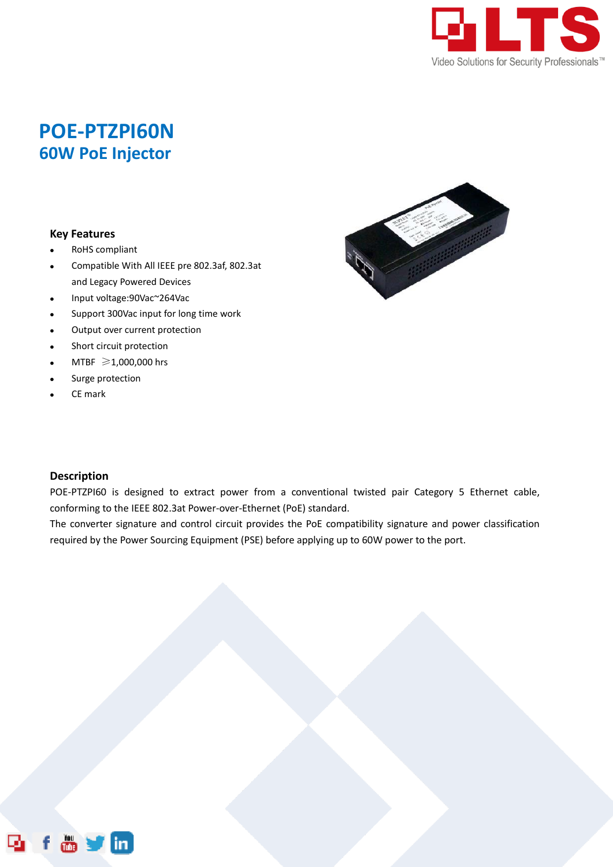

## **POE-PTZPI60N 60W PoE Injector**

## **Key Features**

- RoHS compliant
- Compatible With All IEEE pre 802.3af, 802.3at and Legacy Powered Devices
- Input voltage:90Vac~264Vac
- Support 300Vac input for long time work
- Output over current protection
- Short circuit protection
- MTBF ≥1,000,000 hrs
- Surge protection
- CE mark



## **Description**

POE-PTZPI60 is designed to extract power from a conventional twisted pair Category 5 Ethernet cable, conforming to the IEEE 802.3at Power-over-Ethernet (PoE) standard.

The converter signature and control circuit provides the PoE compatibility signature and power classification required by the Power Sourcing Equipment (PSE) before applying up to 60W power to the port.